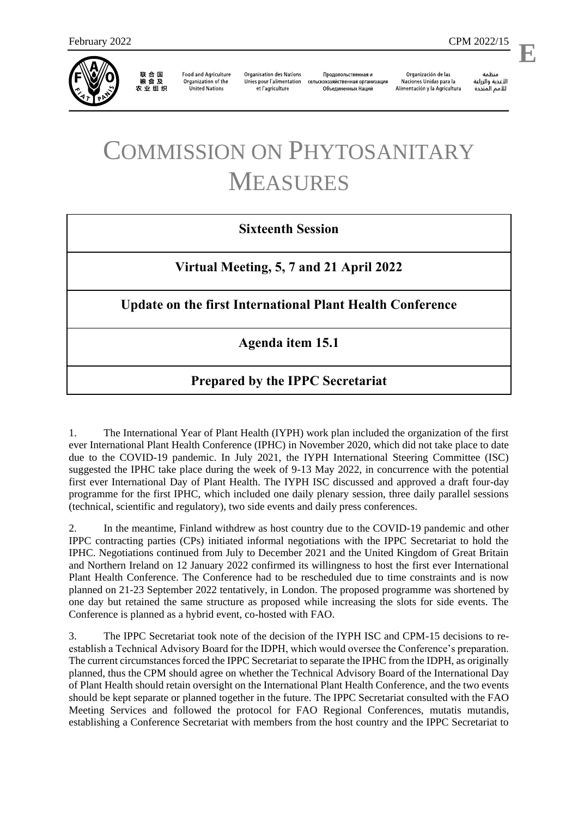

联 合 国<br>粮 食 及 农业组织

**Food and Agriculture** Organization of the **United Nations** 

**Organisation des Nations** Unies pour l'alimentation et l'agriculture

Продовольственная и сельскохозяйственная организация Объелиненных Наций

Organización de las Naciones Unidas para la Alimentación y la Agricultura

منظمة الأغذية والزراعة للأمم المتحدة

**E**

l,

# COMMISSION ON PHYTOSANITARY MEASURES

### **Sixteenth Session**

**Virtual Meeting, 5, 7 and 21 April 2022**

### **Update on the first International Plant Health Conference**

### **Agenda item 15.1**

### **Prepared by the IPPC Secretariat**

1. The International Year of Plant Health (IYPH) work plan included the organization of the first ever International Plant Health Conference (IPHC) in November 2020, which did not take place to date due to the COVID-19 pandemic. In July 2021, the IYPH International Steering Committee (ISC) suggested the IPHC take place during the week of 9-13 May 2022, in concurrence with the potential first ever International Day of Plant Health. The IYPH ISC discussed and approved a draft four-day programme for the first IPHC, which included one daily plenary session, three daily parallel sessions (technical, scientific and regulatory), two side events and daily press conferences.

2. In the meantime, Finland withdrew as host country due to the COVID-19 pandemic and other IPPC contracting parties (CPs) initiated informal negotiations with the IPPC Secretariat to hold the IPHC. Negotiations continued from July to December 2021 and the United Kingdom of Great Britain and Northern Ireland on 12 January 2022 confirmed its willingness to host the first ever International Plant Health Conference. The Conference had to be rescheduled due to time constraints and is now planned on 21-23 September 2022 tentatively, in London. The proposed programme was shortened by one day but retained the same structure as proposed while increasing the slots for side events. The Conference is planned as a hybrid event, co-hosted with FAO.

3. The IPPC Secretariat took note of the decision of the IYPH ISC and CPM-15 decisions to reestablish a Technical Advisory Board for the IDPH, which would oversee the Conference's preparation. The current circumstances forced the IPPC Secretariat to separate the IPHC from the IDPH, as originally planned, thus the CPM should agree on whether the Technical Advisory Board of the International Day of Plant Health should retain oversight on the International Plant Health Conference, and the two events should be kept separate or planned together in the future. The IPPC Secretariat consulted with the FAO Meeting Services and followed the protocol for FAO Regional Conferences, mutatis mutandis, establishing a Conference Secretariat with members from the host country and the IPPC Secretariat to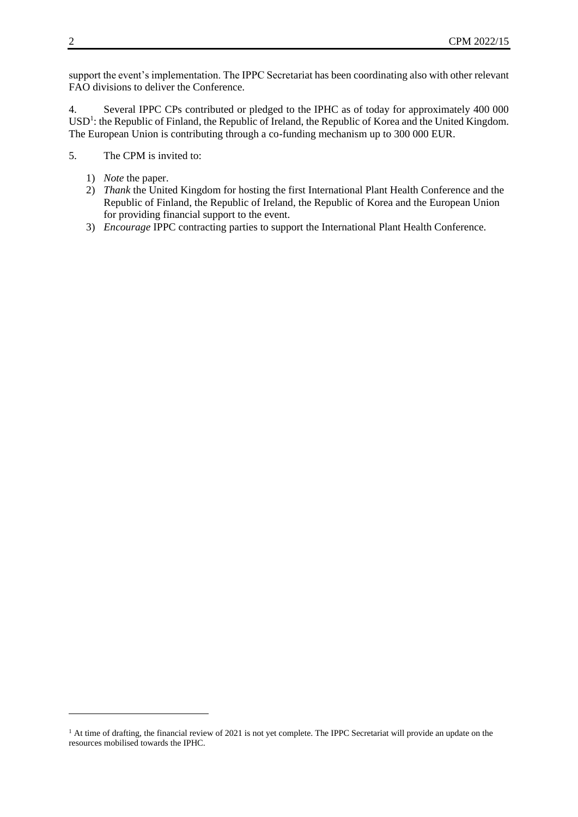support the event's implementation. The IPPC Secretariat has been coordinating also with other relevant FAO divisions to deliver the Conference.

4. Several IPPC CPs contributed or pledged to the IPHC as of today for approximately 400 000 USD<sup>1</sup>: the Republic of Finland, the Republic of Ireland, the Republic of Korea and the United Kingdom. The European Union is contributing through a co-funding mechanism up to 300 000 EUR.

5. The CPM is invited to:

- 1) *Note* the paper.
- 2) *Thank* the United Kingdom for hosting the first International Plant Health Conference and the Republic of Finland, the Republic of Ireland, the Republic of Korea and the European Union for providing financial support to the event.
- 3) *Encourage* IPPC contracting parties to support the International Plant Health Conference.

-

 $1$  At time of drafting, the financial review of 2021 is not yet complete. The IPPC Secretariat will provide an update on the resources mobilised towards the IPHC.